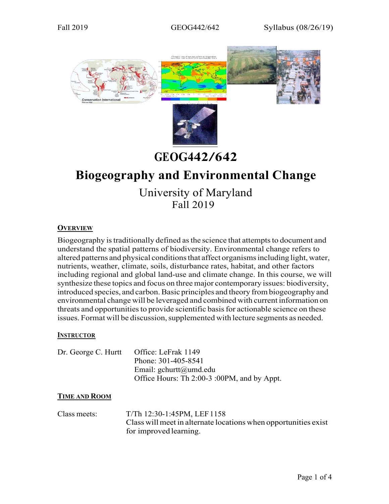

# **GEOG442/642**

# **Biogeography and Environmental Change**

University of Maryland Fall 2019

## **OVERVIEW**

Biogeography is traditionally defined as the science that attempts to document and understand the spatial patterns of biodiversity. Environmental change refers to altered patterns and physical conditions that affect organisms including light, water, nutrients, weather, climate, soils, disturbance rates, habitat, and other factors including regional and global land-use and climate change. In this course, we will synthesize these topics and focus on threemajor contemporary issues: biodiversity, introduced species, and carbon.Basic principles and theory frombiogeography and environmental change will be leveraged and combined with current information on threats and opportunitiesto provide scientific basisfor actionable science on these issues. Format will be discussion, supplemented with lecture segments as needed.

## **INSTRUCTOR**

| Dr. George C. Hurtt | Office: LeFrak 1149                         |
|---------------------|---------------------------------------------|
|                     | Phone: 301-405-8541                         |
|                     | Email: $g$ churtt@umd.edu                   |
|                     | Office Hours: Th 2:00-3 :00PM, and by Appt. |

#### **TIME AND ROOM**

Class meets: T/Th 12:30-1:45PM, LEF1158 Class willmeet in alternate locations when opportunities exist for improved learning.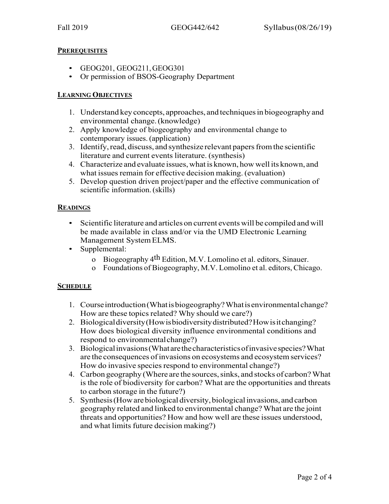## **PREREQUISITES**

- GEOG201, GEOG211,GEOG301
- Or permission of BSOS-Geography Department

## **LEARNING OBJECTIVES**

- 1. Understand key concepts, approaches, and techniquesin biogeography and environmental change.(knowledge)
- 2. Apply knowledge of biogeography and environmental change to contemporary issues. (application)
- 3. Identify, read, discuss, and synthesize relevant papers from the scientific literature and current events literature. (synthesis)
- 4. Characterize and evaluate issues,what is known, howwell its known, and what issues remain for effective decision making. (evaluation)
- 5. Develop question driven project/paper and the effective communication of scientific information.(skills)

## **READINGS**

- Scientific literature and articles on current events will be compiled and will be made available in class and/or via the UMD Electronic Learning Management SystemELMS.
- Supplemental:
	- o Biogeography  $4<sup>th</sup>$  Edition, M.V. Lomolino et al. editors, Sinauer.
	- o Foundations of Biogeography, M.V. Lomolino et al. editors, Chicago.

## **SCHEDULE**

- 1. Courseintroduction(Whatisbiogeography?Whatisenvironmentalchange? How are these topics related? Why should we care?)
- 2. Biologicaldiversity(Howisbiodiversitydistributed?Howisitchanging? How does biological diversity influence environmental conditions and respond to environmentalchange?)
- 3. Biologicalinvasions(Whatarethecharacteristicsofinvasivespecies?What are the consequences of invasions on ecosystems and ecosystem services? How do invasive species respond to environmental change?)
- 4. Carbon geography (Where are the sources, sinks, and stocks of carbon? What is the role of biodiversity for carbon? What are the opportunities and threats to carbon storage in the future?)
- 5. Synthesis(Howarebiological diversity,biologicalinvasions, andcarbon geography related and linked to environmental change? What are the joint threats and opportunities? How and how well are these issues understood, and what limits future decision making?)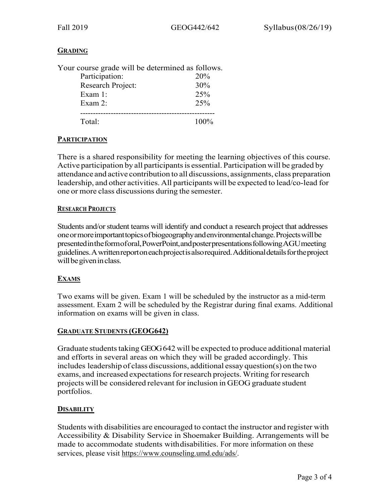## **GRADING**

| Your course grade will be determined as follows. |         |
|--------------------------------------------------|---------|
| Participation:                                   | 20%     |
| Research Project:                                | 30%     |
| Exam $1:$                                        | 25%     |
| Exam $2:$                                        | 25%     |
|                                                  |         |
| Total·                                           | $100\%$ |

#### **PARTICIPATION**

There is a shared responsibility for meeting the learning objectives of this course. Active participation by all participantsis essential. Participation will be graded by attendance and active contribution to all discussions, assignments, class preparation leadership, and other activities. All participants will be expected to lead/co-lead for one or more class discussions during the semester.

#### **RESEARCH PROJECTS**

Students and/or student teams will identify and conduct a research project that addresses oneormoreimportanttopicsofbiogeographyandenvironmentalchange.Projectswillbe presentedintheformoforal,PowerPoint,andposterpresentationsfollowingAGUmeeting guidelines.Awrittenreportoneachprojectisalsorequired.Additionaldetailsfortheproject will be given in class.

## **EXAMS**

Two exams will be given. Exam 1 will be scheduled by the instructor as a mid-term assessment. Exam 2 will be scheduled by the Registrar during final exams. Additional information on exams will be given in class.

#### **GRADUATE STUDENTS (GEOG642)**

Graduate students taking GEOG 642 will be expected to produce additional material and efforts in several areas on which they will be graded accordingly. This includes leadership of class discussions, additional essay question(s) on the two exams, and increased expectations for research projects. Writing for research projects will be considered relevant for inclusion in GEOG graduate student portfolios.

## **DISABILITY**

Students with disabilities are encouraged to contact the instructor and register with Accessibility & Disability Service in Shoemaker Building. Arrangements will be made to accommodate students withdisabilities. For more information on these services, please visit https://www.counseling.umd.edu/ads/.